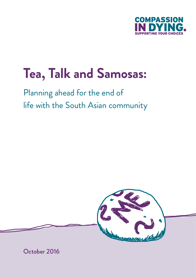

# **Tea, Talk and Samosas:**

Planning ahead for the end of life with the South Asian community



October 2016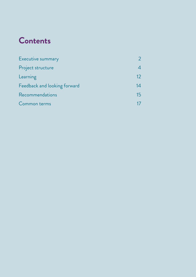# **Contents**

| Executive summary            |    |
|------------------------------|----|
| Project structure            |    |
| Learning                     | 12 |
| Feedback and looking forward | 14 |
| Recommendations              | 15 |
| Common terms                 |    |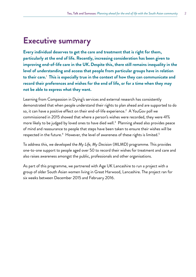### **Executive summary**

**Every individual deserves to get the care and treatment that is right for them, particularly at the end of life. Recently, increasing consideration has been given to improving end-of-life care in the UK.Despite this, there still remains inequality in the level of understanding and access that people from particular groups have in relation to their care.**<sup>1</sup>  **This is especially true in the context of how they can communicate and record their preferences and wishes for the end of life, or for a time when they may not be able to express what they want.** 

Learning from Compassion in Dying's services and external research has consistently demonstrated that when people understand their rights to plan ahead and are supported to do so, it can have a positive effect on their end-of-life experience. $^{\text{2}}$  A YouGov poll we commissioned in 2015 showed that where a person's wishes were recorded, they were 41% more likely to be judged by loved ones to have died well. $^3$  Planning ahead also provides peace of mind and reassurance to people that steps have been taken to ensure their wishes will be respected in the future.<sup>4</sup> However, the level of awareness of these rights is limited.<sup>5</sup>

To address this, we developed the *My Life, My Decision* (MLMD) programme. This provides one-to-one support to people aged over 50 to record their wishes for treatment and care and also raises awareness amongst the public, professionals and other organisations.

As part of this programme, we partnered with Age UK Lancashire to run a project with a group of older South Asian women living in Great Harwood, Lancashire. The project ran for six weeks between December 2015 and February 2016.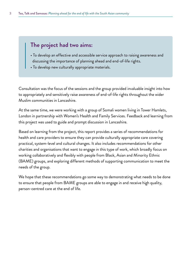### **The project had two aims:**

- To develop an effective and accessible service approach to raising awareness and discussing the importance of planning ahead and end-of-life rights.
- To develop new culturally appropriate materials.

Consultation was the focus of the sessions and the group provided invaluable insight into how to appropriately and sensitively raise awareness of end-of-life rights throughout the wider Muslim communities in Lancashire.

At the same time, we were working with a group of Somali women living in Tower Hamlets, London in partnership with Women's Health and Family Services. Feedback and learning from this project was used to guide and prompt discussion in Lancashire.

Based on learning from the project, this report provides a series of recommendations for health and care providers to ensure they can provide culturally appropriate care covering practical, system-level and cultural changes. It also includes recommendations for other charities and organisations that want to engage in this type of work, which broadly focus on working collaboratively and flexibly with people from Black, Asian and Minority Ethnic (BAME) groups, and exploring different methods of supporting communication to meet the needs of the group.

We hope that these recommendations go some way to demonstrating what needs to be done to ensure that people from BAME groups are able to engage in and receive high quality, person-centred care at the end of life.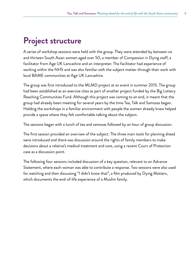# **Project structure**

A series of workshop sessions were held with the group. They were attended by between six and thirteen South Asian women aged over 50, a member of Compassion in Dying staff, a facilitator from Age UK Lancashire and an interpreter. The facilitator had experience of working within the NHS and was also familiar with the subject matter through their work with local BAME communities at Age UK Lancashire.

The group was first introduced to the MLMD project at an event in summer 2015. The group had been established as an exercise class as part of another project funded by the Big Lottery Reaching Communities Fund. Although this project was coming to an end, it meant that the group had already been meeting for several years by the time Tea, Talk and Samosas began. Holding the workshops in a familiar environment with people the women already knew helped provide a space where they felt comfortable talking about the subject.

The sessions began with a lunch of tea and samosas followed by an hour of group discussion.

The first session provided an overview of the subject. The three main tools for planning ahead were introduced and there was discussion around the rights of family members to make decisions about a relative's medical treatment and care, using a recent Court of Protection case as a discussion point.

The following four sessions included discussion of a key question, relevant to an Advance Statement, where each woman was able to contribute a response. Two sessions were also used for watching and then discussing "I didn't know that", a film produced by Dying Matters, which documents the end-of-life experience of a Muslim family.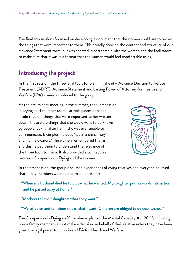The final two sessions focussed on developing a document that the women could use to record the things that were important to them. This broadly drew on the content and structure of our Advance Statement form, but was adapted in partnership with the women and the facilitators to make sure that it was in a format that the women would feel comfortable using.

### **Introducing the project**

In the first session, the three legal tools for planning ahead – Advance Decision to Refuse Treatment (ADRT), Advance Statement and Lasting Power of Attorney for Health and Welfare (LPA) - were introduced to the group.

At the preliminary meeting in the summer, the Compassion in Dying staff member used a jar with pieces of paper inside that had things that were important to her written down. These were things that she would want to be known by people looking after her, if she was ever unable to communicate. Examples included 'tea in a china mug' and 'no male carers.' The women remembered the jar and this helped them to understand the relevance of the three tools to them. It also provided a connection between Compassion in Dying and the women.



In the first session, the group discussed experiences of dying relatives and everyone believed that family members were able to make decisions:

"When my husband died he told us what he wanted. My daughter put his words into action and he passed away at home."

"Mothers tell their daughters what they want."

"We sit down and tell them this is what I want. Children are obliged to do your wishes."

The Compassion in Dying staff member explained the Mental Capacity Act 2005, including how a family member cannot make a decision on behalf of their relative unless they have been given the legal power to do so in an LPA for Health and Welfare.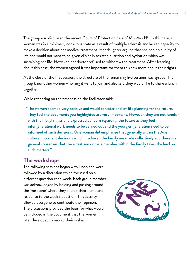The group also discussed the recent Court of Protection case of  $M \vee Mr$ s N<sup>6</sup>. In this case, a woman was in a minimally conscious state as a result of multiple sclerosis and lacked capacity to make a decision about her medical treatment. Her daughter argued that she had no quality of life and would not want to be given clinically assisted nutrition and hydration which was sustaining her life. However, her doctor refused to withdraw the treatment. After learning about this case, the women agreed it was important for them to know more about their rights.

At the close of the first session, the structure of the remaining five sessions was agreed. The group knew other women who might want to join and also said they would like to share a lunch together.

While reflecting on the first session the facilitator said:

"The women seemed very positive and would consider end-of-life planning for the future. They feel the documents you highlighted are very important. However, they are not familiar with their legal rights and expressed concern regarding the future as they feel intergenerational work needs to be carried out and the younger generation need to be informed of such decisions. One woman did emphasise that generally within the Asian culture important decisions which involve all the family are made collectively and there is a general consensus that the eldest son or male member within the family takes the lead on such matters."

### **The workshops**

The following sessions began with lunch and were followed by a discussion which focussed on a different question each week. Each group member was acknowledged by holding and passing around the 'me stone' where they shared their name and response to the week's question. This activity allowed everyone to contribute their opinion. The discussions provided the basis for what would be included in the document that the women later developed to record their wishes.

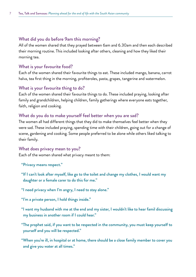### What did you do before 9am this morning?

All of the women shared that they prayed between 6am and 6.30am and then each described their morning routine. This included looking after others, cleaning and how they liked their morning tea.

### What is your favourite food?

Each of the women shared their favourite things to eat. These included mango, banana, carrot halva, tea first thing in the morning, profiteroles, pasta, grapes, tangerine and watermelon.

### What is your favourite thing to do?

Each of the women shared their favourite things to do. These included praying, looking after family and grandchildren, helping children, family gatherings where everyone eats together, faith, religion and cooking.

#### What do you do to make yourself feel better when you are sad?

The women all had different things that they did to make themselves feel better when they were sad. These included praying, spending time with their children, going out for a change of scene, gardening and cooking. Some people preferred to be alone while others liked talking to their family.

### What does privacy mean to you?

Each of the women shared what privacy meant to them:

- "Privacy means respect."
- "If I can't look after myself, like go to the toilet and change my clothes, I would want my daughter or a female carer to do this for me."
- "I need privacy when I'm angry, I need to stay alone."
- "I'm a private person, I hold things inside."
- "I want my husband with me at the end and my sister, I wouldn't like to hear famil discussing my business in another room if I could hear."
- "The prophet said, if you want to be respected in the community, you must keep yourself to yourself and you will be respected."
- "When you're ill, in hospital or at home, there should be a close family member to cover you and give you water at all times."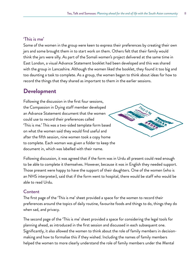### 'This is me'

Some of the women in the group were keen to express their preferences by creating their own jars and some brought them in to start work on them. Others felt that their family would think the jars were silly. As part of the Somali women's project delivered at the same time in East London, a visual Advance Statement booklet had been developed and this was shared with the group in Lancashire. Although the women liked the booklet, they found it too big and too daunting a task to complete. As a group, the women began to think about ideas for how to record the things that they shared as important to them in the earlier sessions.

### **Development**

Following the discussion in the first four sessions, the Compassion in Dying staff member developed an Advance Statement document that the women could use to record their preferences called 'This is me.' This was a two-sided template form based on what the women said they would find useful and after the fifth session, nine women took a copy home to complete. Each woman was given a folder to keep the document in, which was labelled with their name.



Following discussion, it was agreed that if the form was in Urdu all present could read enough to be able to complete it themselves. However, because it was in English they needed support. Those present were happy to have the support of their daughters. One of the women (who is an NHS interpreter), said that if the form went to hospital, there would be staff who would be able to read Urdu.

### Content

The first page of the 'This is me' sheet provided a space for the women to record their preferences around the topics of daily routine, favourite foods and things to do, things they do when sad, and privacy.

The second page of the 'This is me' sheet provided a space for considering the legal tools for planning ahead, as introduced in the first session and discussed in each subsequent one. Significantly, it also allowed the women to think about the role of family members in decisionmaking and how to formalise this if they wished. Including the names of family members helped the women to more clearly understand the role of family members under the Mental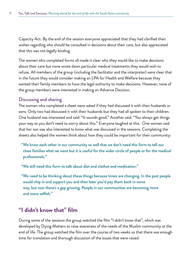Capacity Act. By the end of the session everyone appreciated that they had clarified their wishes regarding who should be consulted in decisions about their care, but also appreciated that this was not legally binding.

The women who completed forms all made it clear who they would like to make decisions about their care but none wrote down particular medical treatments they would wish to refuse. All members of the group (including the facilitator and the interpreter) were clear that in the future they would consider making an LPA for Health and Welfare because they wanted their family members to have the legal authority to make decisions. However, none of the group members were interested in making an Advance Decision.

#### Discussing and sharing

The women who completed a sheet were asked if they had discussed it with their husbands or sons. Only two had discussed it with their husbands but they had all spoken to their children. One husband was interested and said: "It sounds good." Another said: "You always get things your way so you don't need to worry about this." Everyone laughed at this. One woman said that her son was also interested to know what was discussed in the sessions. Completing the sheets also helped the women think about how they could be important for their community:

"We know each other in our community so well that we don't need this form to tell our close families what we want but it is useful for the wider circle of people or for the medical professionals."

"We still need this form to talk about diet and clothes and medication."

"We need to be thinking about these things because times are changing. In the past people would chip in and support you and then later you'd pay them back in some way, but now there's a gap growing. People in our communities are becoming more and more selfish."

### **"I didn't know that" film**

During some of the sessions the group watched the film "I didn't know that", which was developed by Dying Matters to raise awareness of the needs of the Muslim community at the end of life. The group watched the film over the course of two weeks so that there was enough time for translation and thorough discussion of the issues that were raised.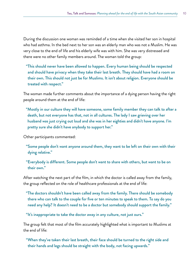During the discussion one woman was reminded of a time when she visited her son in hospital who had asthma. In the bed next to her son was an elderly man who was not a Muslim. He was very close to the end of life and his elderly wife was with him. She was very distressed and there were no other family members around. The woman told the group:

"This should never have been allowed to happen. Every human being should be respected and should have privacy when they take their last breath. They should have had a room on their own. This should not just be for Muslims. It isn't about religion. Everyone should be treated with respect."

The woman made further comments about the importance of a dying person having the right people around them at the end of life:

"Mostly in our culture they will have someone, some family member they can talk to after a death, but not everyone has that, not in all cultures. The lady I saw grieving over her husband was just crying out loud and she was in her eighties and didn't have anyone. I'm pretty sure she didn't have anybody to support her."

Other participants commented:

- "Some people don't want anyone around them, they want to be left on their own with their dying relative."
- "Everybody is different. Some people don't want to share with others, but want to be on their own."

After watching the next part of the film, in which the doctor is called away from the family, the group reflected on the role of healthcare professionals at the end of life:

"The doctors shouldn't have been called away from the family. There should be somebody there who can talk to the couple for five or ten minutes to speak to them. To say do you need any help? It doesn't need to be a doctor but somebody should support the family."

"It's inappropriate to take the doctor away in any culture, not just ours."

The group felt that most of the film accurately highlighted what is important to Muslims at the end of life:

"When they've taken their last breath, their face should be turned to the right side and their hands and legs should be straight with the body, not facing upwards."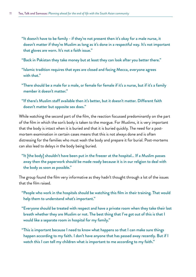- "It doesn't have to be family if they're not present then it's okay for a male nurse, it doesn't matter if they're Muslim as long as it's done in a respectful way. It's not important that gloves are worn. It's not a faith issue."
- "Back in Pakistan they take money but at least they can look after you better there."
- "Islamic tradition requires that eyes are closed and facing Mecca, everyone agrees with that."
- "There should be a male for a male, or female for female if it's a nurse, but if it's a family member it doesn't matter."
- "If there's Muslim staff available then it's better, but it doesn't matter. Different faith doesn't matter but opposite sex does."

While watching the second part of the film, the reaction focussed predominantly on the part of the film in which the son's body is taken to the morgue. For Muslims, it is very important that the body is intact when it is buried and that it is buried quickly. The need for a postmortem examination in certain cases means that this is not always done and is often distressing for the families who must wash the body and prepare it for burial. Post-mortems can also lead to delays in the body being buried.

"It [the body] shouldn't have been put in the freezer at the hospital… If a Muslim passes away then the paperwork should be made ready because it is in our religion to deal with the body as soon as possible."

The group found the film very informative as they hadn't thought through a lot of the issues that the film raised.

- "People who work in the hospitals should be watching this film in their training. That would help them to understand what's important."
- "Everyone should be treated with respect and have a private room when they take their last breath whether they are Muslim or not. The best thing that I've got out of this is that I would like a separate room in hospital for my family."
- "This is important because I need to know what happens so that I can make sure things happen according to my faith. I don't have anyone that has passed away recently. But if I watch this I can tell my children what is important to me according to my faith."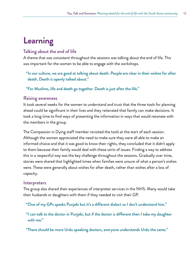# **Learning**

#### Talking about the end of life

A theme that was consistent throughout the sessions was talking about the end of life. This was important for the women to be able to engage with the workshops.

"In our culture, we are good at talking about death. People are clear in their wishes for after death. Death is openly talked about."

"For Muslims, life and death go together. Death is just after the life."

#### Raising awareness

It took several weeks for the women to understand and trust that the three tools for planning ahead could be significant in their lives and they reiterated that family can make decisions. It took a long time to find ways of presenting the information in ways that would resonate with the members in the group.

The Compassion in Dying staff member revisited the tools at the start of each session. Although the women appreciated the need to make sure they were all able to make an informed choice and that it was good to know their rights, they concluded that it didn't apply to them because their family would deal with these sorts of issues. Finding a way to address this in a respectful way was the key challenge throughout the sessions. Gradually over time, stories were shared that highlighted times when families were unsure of what a person's wishes were. These were generally about wishes for after death, rather than wishes after a loss of capacity.

#### **Interpreters**

The group also shared their experiences of interpreter services in the NHS. Many would take their husbands or daughters with them if they needed to visit their GP.

"One of my GPs speaks Punjabi but it's a different dialect so I don't understand him."

"I can talk to the doctor in Punjabi, but if the doctor is different then I take my daughter with me."

"There should be more Urdu speaking doctors, everyone understands Urdu the same."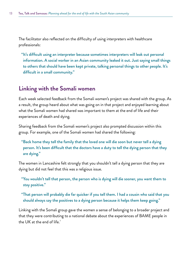The facilitator also reflected on the difficulty of using interpreters with healthcare professionals:

"It's difficult using an interpreter because sometimes interpreters will leak out personal information. A social worker in an Asian community leaked it out. Just saying small things to others that should have been kept private, talking personal things to other people. It's difficult in a small community."

### **Linking with the Somali women**

Each week selected feedback from the Somali women's project was shared with the group. As a result, the group heard about what was going on in that project and enjoyed learning about what the Somali women had shared was important to them at the end of life and their experiences of death and dying.

Sharing feedback from the Somali women's project also prompted discussion within this group. For example, one of the Somali women had shared the following:

"Back home they tell the family that the loved one will die soon but never tell a dying person. It's been difficult that the doctors have a duty to tell the dying person that they are dying."

The women in Lancashire felt strongly that you shouldn't tell a dying person that they are dying but did not feel that this was a religious issue.

"You wouldn't tell that person, the person who is dying will die sooner, you want them to stay positive."

"That person will probably die far quicker if you tell them. I had a cousin who said that you should always say the positives to a dying person because it helps them keep going."

Linking with the Somali group gave the women a sense of belonging to a broader project and that they were contributing to a national debate about the experiences of BAME people in the UK at the end of life.<sup>7</sup>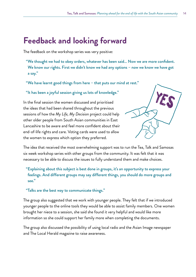### **Feedback and looking forward**

The feedback on the workshop series was very positive:

- "We thought we had to obey orders, whatever has been said… Now we are more confident. We know our rights. First we didn't know we had any options – now we know we have got a say."
- "We have learnt good things from here that puts our mind at rest."

"It has been a joyful session giving us lots of knowledge."

In the final session the women discussed and prioritised the ideas that had been shared throughout the previous sessions of how the *My Life, My Decision* project could help other older people from South Asian communities in East Lancashire to be aware and feel more confident about their end-of-life rights and care. Voting cards were used to allow the women to express which option they preferred.



The idea that received the most overwhelming support was to run the Tea, Talk and Samosas six week workshop series with other groups from the community. It was felt that it was necessary to be able to discuss the issues to fully understand them and make choices.

"Explaining about this subject is best done in groups, it's an opportunity to express your feelings. And different groups may say different things, you should do more groups and see."

#### "Talks are the best way to communicate things."

The group also suggested that we work with younger people. They felt that if we introduced younger people to the online tools they would be able to assist family members. One women brought her niece to a session, she said she found it very helpful and would like more information so she could support her family more when completing the documents.

The group also discussed the possibility of using local radio and the Asian Image newspaper and The Local Herald magazine to raise awareness.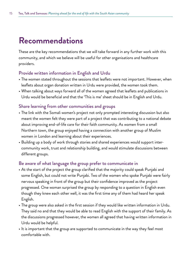### **Recommendations**

These are the key recommendations that we will take forward in any further work with this community, and which we believe will be useful for other organisations and healthcare providers.

### Provide written information in English and Urdu

- The women stated throughout the sessions that leaflets were not important. However, when leaflets about organ donation written in Urdu were provided, the women took them.
- • When talking about ways forward all of the women agreed that leaflets and publications in Urdu would be beneficial and that the 'This is me' sheet should be in English and Urdu.

### Share learning from other communities and groups

- The link with the Somali women's project not only prompted interesting discussion but also meant the women felt they were part of a project that was contributing to a national debate about improving end-of-life care for their faith community. As women from a small Northern town, the group enjoyed having a connection with another group of Muslim women in London and learning about their experiences.
- Building up a body of work through stories and shared experiences would support intercommunity work, trust and relationship building, and would stimulate discussions between different groups.

### Be aware of what language the group prefer to communicate in

- At the start of the project the group clarified that the majority could speak Punjabi and some English, but could not write Punjabi. Two of the women who spoke Punjabi were fairly nervous speaking in front of the group but their confidence improved as the project progressed. One woman surprised the group by responding to a question in English even though they knew each other well, it was the first time any of them had heard her speak English.
- The group were also asked in the first session if they would like written information in Urdu. They said no and that they would be able to read English with the support of their family. As the discussions progressed however, the women all agreed that having written information in Urdu would be helpful.
- It is important that the group are supported to communicate in the way they feel most comfortable with.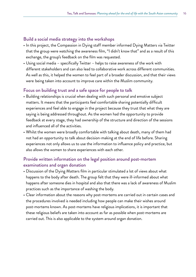#### Build a social media strategy into the workshops

- In this project, the Compassion in Dying staff member informed Dying Matters via Twitter that the group were watching the awareness film, "I didn't know that" and as a result of this exchange, the group's feedback on the film was requested.
- Using social media specifically Twitter helps to raise awareness of the work with different stakeholders and can also lead to collaborative work across different communities. As well as this, it helped the women to feel part of a broader discussion, and that their views were being taken into account to improve care within the Muslim community.

#### Focus on building trust and a safe space for people to talk

- Building relationships is crucial when dealing with such personal and emotive subject matters. It means that the participants feel comfortable sharing potentially difficult experiences and feel able to engage in the project because they trust that what they are saying is being addressed throughout. As the women had the opportunity to provide feedback at every stage, they had ownership of the structure and direction of the sessions and influenced all of the activities.
- Whilst the women were broadly comfortable with talking about death, many of them had not had an opportunity to talk about decision-making at the end of life before. Sharing experiences not only allows us to use the information to influence policy and practice, but also allows the women to share experiences with each other.

### Provide written information on the legal position around post-mortem examinations and organ donation

- Discussion of the Dying Matters film in particular stimulated a lot of views about what happens to the body after death. The group felt that they were ill-informed about what happens after someone dies in hospital and also that there was a lack of awareness of Muslim practices such as the importance of washing the body.
- • Clear information about the reasons why post-mortems are carried out in certain cases and the procedures involved is needed including how people can make their wishes around post-mortems known. As post-mortems have religious implications, it is important that these religious beliefs are taken into account as far as possible when post-mortems are carried out. This is also applicable to the system around organ donation.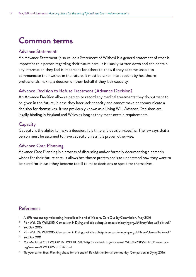# **Common terms**

#### Advance Statement

An Advance Statement (also called a Statement of Wishes) is a general statement of what is important to a person regarding their future care. It is usually written down and can contain any information they feel is important for others to know if they become unable to communicate their wishes in the future. It must be taken into account by healthcare professionals making a decision on their behalf if they lack capacity.

### Advance Decision to Refuse Treatment (Advance Decision)

An Advance Decision allows a person to record any medical treatments they do not want to be given in the future, in case they later lack capacity and cannot make or communicate a decision for themselves. It was previously known as a Living Will. Advance Decisions are legally binding in England and Wales as long as they meet certain requirements.

### **Capacity**

Capacity is the ability to make a decision. It is time and decision-specific. The law says that a person must be assumed to have capacity unless it is proven otherwise.

### Advance Care Planning

Advance Care Planning is a process of discussing and/or formally documenting a person's wishes for their future care. It allows healthcare professionals to understand how they want to be cared for in case they become too ill to make decisions or speak for themselves.

### References

- 1 A different ending: Addressing inequalities in end of life care, Care Quality Commission, May 2016
- <sup>2</sup> Plan Well, Die Well 2015, Compassion in Dying, available at http://compassionindying.org.uk/library/plan-well-die-well/
- **YouGov, 2015**
- <sup>4</sup> Plan Well, Die Well 2015, Compassion in Dying, available at http://compassionindying.org.uk/library/plan-well-die-well/
- <sup>5</sup> YouGov, 2011
- 6 M v Mrs N [2015] EWCOP 76 HYPERLINK "http://www.bailii.org/ew/cases/EWCOP/2015/76.html" www.bailii. org/ew/cases/EWCOP/2015/76.html
- 7 Tie your camel first: Planning ahead for the end of life with the Somali community, Compassion in Dying 2016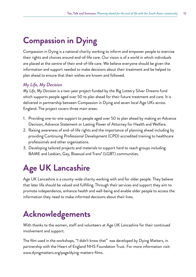# **Compassion in Dying**

Compassion in Dying is a national charity working to inform and empower people to exercise their rights and choices around end-of-life care. Our vision is of a world in which individuals are placed at the centre of their end-of-life care. We believe everyone should be given the information and support needed to make decisions about their treatment and be helped to plan ahead to ensure that their wishes are known and followed.

### *My Life, My Decision*

*My Life, My Decision* is a two-year project funded by the Big Lottery Silver Dreams fund which supports people aged over 50 to plan ahead for their future treatment and care. It is delivered in partnership between Compassion in Dying and seven local Age UKs across England. The project covers three main areas:

- 1. Providing one-to-one support to people aged over 50 to plan ahead by making an Advance Decision, Advance Statement or Lasting Power of Attorney for Health and Welfare.
- 2. Raising awareness of end-of-life rights and the importance of planning ahead including by providing Continuing Professional Development (CPD) accredited training to healthcare professionals and other organisations.
- 3. Developing tailored projects and materials to support hard to reach groups including BAME and Lesbian, Gay, Bisexual and Trans\* (LGBT) communities.

# **Age UK Lancashire**

Age UK Lancashire is a county-wide charity working with and for older people. They believe that later life should be valued and fulfilling. Through their services and support they aim to promote independence, enhance health and well-being and enable older people to access the information they need to make informed decisions about their lives.

# **Acknowledgements**

With thanks to the women, staff and volunteers at Age UK Lancashire for their continued involvement and support.

The film used in the workshops, "I didn't know that" was developed by Dying Matters, in partnership with the Heart of England NHS Foundation Trust. For more information visit: www.dyingmatters.org/page/dying-matters-films.